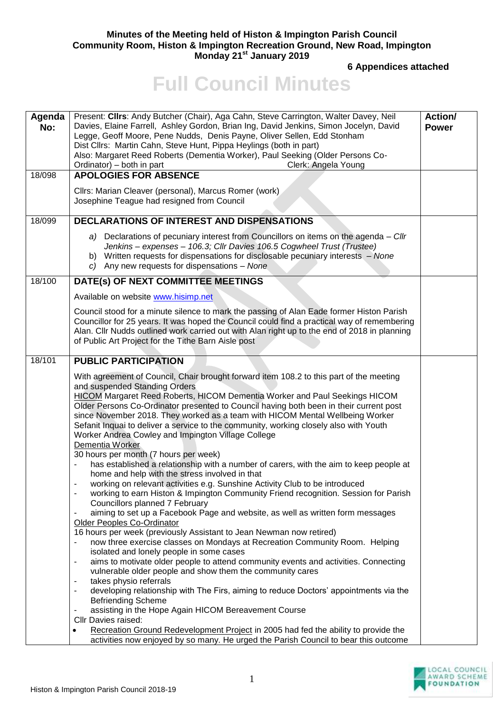## **Minutes of the Meeting held of Histon & Impington Parish Council Community Room, Histon & Impington Recreation Ground, New Road, Impington Monday 21st January 2019**

**6 Appendices attached**

## **Full Council Minutes**

| Agenda<br>No:<br>18/098 | Present: Cllrs: Andy Butcher (Chair), Aga Cahn, Steve Carrington, Walter Davey, Neil<br>Davies, Elaine Farrell, Ashley Gordon, Brian Ing, David Jenkins, Simon Jocelyn, David<br>Legge, Geoff Moore, Pene Nudds, Denis Payne, Oliver Sellen, Edd Stonham<br>Dist Cllrs: Martin Cahn, Steve Hunt, Pippa Heylings (both in part)<br>Also: Margaret Reed Roberts (Dementia Worker), Paul Seeking (Older Persons Co-<br>Ordinator) - both in part<br>Clerk: Angela Young<br><b>APOLOGIES FOR ABSENCE</b>                                                                                                                                                                                                                                                                                                                                                                                                                                                                                                                                                                                                                                                                                                                                                                                                                                                                                                                | Action/<br><b>Power</b> |
|-------------------------|---------------------------------------------------------------------------------------------------------------------------------------------------------------------------------------------------------------------------------------------------------------------------------------------------------------------------------------------------------------------------------------------------------------------------------------------------------------------------------------------------------------------------------------------------------------------------------------------------------------------------------------------------------------------------------------------------------------------------------------------------------------------------------------------------------------------------------------------------------------------------------------------------------------------------------------------------------------------------------------------------------------------------------------------------------------------------------------------------------------------------------------------------------------------------------------------------------------------------------------------------------------------------------------------------------------------------------------------------------------------------------------------------------------------|-------------------------|
|                         | Cllrs: Marian Cleaver (personal), Marcus Romer (work)<br>Josephine Teague had resigned from Council                                                                                                                                                                                                                                                                                                                                                                                                                                                                                                                                                                                                                                                                                                                                                                                                                                                                                                                                                                                                                                                                                                                                                                                                                                                                                                                 |                         |
| 18/099                  | <b>DECLARATIONS OF INTEREST AND DISPENSATIONS</b>                                                                                                                                                                                                                                                                                                                                                                                                                                                                                                                                                                                                                                                                                                                                                                                                                                                                                                                                                                                                                                                                                                                                                                                                                                                                                                                                                                   |                         |
|                         | a) Declarations of pecuniary interest from Councillors on items on the agenda - Cllr<br>Jenkins - expenses - 106.3; Cllr Davies 106.5 Cogwheel Trust (Trustee)<br>b) Written requests for dispensations for disclosable pecuniary interests - None<br>$c)$ Any new requests for dispensations - None                                                                                                                                                                                                                                                                                                                                                                                                                                                                                                                                                                                                                                                                                                                                                                                                                                                                                                                                                                                                                                                                                                                |                         |
| 18/100                  | DATE(s) OF NEXT COMMITTEE MEETINGS                                                                                                                                                                                                                                                                                                                                                                                                                                                                                                                                                                                                                                                                                                                                                                                                                                                                                                                                                                                                                                                                                                                                                                                                                                                                                                                                                                                  |                         |
|                         | Available on website www.hisimp.net                                                                                                                                                                                                                                                                                                                                                                                                                                                                                                                                                                                                                                                                                                                                                                                                                                                                                                                                                                                                                                                                                                                                                                                                                                                                                                                                                                                 |                         |
|                         | Council stood for a minute silence to mark the passing of Alan Eade former Histon Parish<br>Councillor for 25 years. It was hoped the Council could find a practical way of remembering<br>Alan. Cllr Nudds outlined work carried out with Alan right up to the end of 2018 in planning<br>of Public Art Project for the Tithe Barn Aisle post                                                                                                                                                                                                                                                                                                                                                                                                                                                                                                                                                                                                                                                                                                                                                                                                                                                                                                                                                                                                                                                                      |                         |
| 18/101                  | <b>PUBLIC PARTICIPATION</b>                                                                                                                                                                                                                                                                                                                                                                                                                                                                                                                                                                                                                                                                                                                                                                                                                                                                                                                                                                                                                                                                                                                                                                                                                                                                                                                                                                                         |                         |
|                         | With agreement of Council, Chair brought forward item 108.2 to this part of the meeting<br>and suspended Standing Orders<br><b>HICOM</b> Margaret Reed Roberts, HICOM Dementia Worker and Paul Seekings HICOM<br>Older Persons Co-Ordinator presented to Council having both been in their current post<br>since November 2018. They worked as a team with HICOM Mental Wellbeing Worker<br>Sefanit Inquai to deliver a service to the community, working closely also with Youth<br>Worker Andrea Cowley and Impington Village College<br>Dementia Worker<br>30 hours per month (7 hours per week)<br>has established a relationship with a number of carers, with the aim to keep people at<br>٠<br>home and help with the stress involved in that<br>working on relevant activities e.g. Sunshine Activity Club to be introduced<br>working to earn Histon & Impington Community Friend recognition. Session for Parish<br>Councillors planned 7 February<br>aiming to set up a Facebook Page and website, as well as written form messages<br>Older Peoples Co-Ordinator<br>16 hours per week (previously Assistant to Jean Newman now retired)<br>now three exercise classes on Mondays at Recreation Community Room. Helping<br>$\overline{\phantom{a}}$<br>isolated and lonely people in some cases<br>aims to motivate older people to attend community events and activities. Connecting<br>$\blacksquare$ |                         |
|                         | vulnerable older people and show them the community cares<br>takes physio referrals<br>$\blacksquare$                                                                                                                                                                                                                                                                                                                                                                                                                                                                                                                                                                                                                                                                                                                                                                                                                                                                                                                                                                                                                                                                                                                                                                                                                                                                                                               |                         |
|                         | developing relationship with The Firs, aiming to reduce Doctors' appointments via the<br>$\overline{\phantom{a}}$<br><b>Befriending Scheme</b>                                                                                                                                                                                                                                                                                                                                                                                                                                                                                                                                                                                                                                                                                                                                                                                                                                                                                                                                                                                                                                                                                                                                                                                                                                                                      |                         |
|                         | assisting in the Hope Again HICOM Bereavement Course<br>Cllr Davies raised:                                                                                                                                                                                                                                                                                                                                                                                                                                                                                                                                                                                                                                                                                                                                                                                                                                                                                                                                                                                                                                                                                                                                                                                                                                                                                                                                         |                         |
|                         | Recreation Ground Redevelopment Project in 2005 had fed the ability to provide the<br>activities now enjoyed by so many. He urged the Parish Council to bear this outcome                                                                                                                                                                                                                                                                                                                                                                                                                                                                                                                                                                                                                                                                                                                                                                                                                                                                                                                                                                                                                                                                                                                                                                                                                                           |                         |

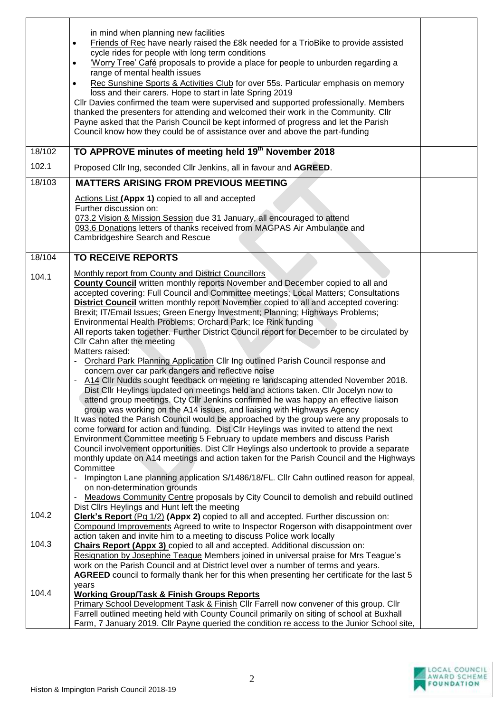| in mind when planning new facilities                                                                                                                                                 |  |
|--------------------------------------------------------------------------------------------------------------------------------------------------------------------------------------|--|
| Friends of Rec have nearly raised the £8k needed for a TrioBike to provide assisted<br>$\bullet$                                                                                     |  |
| cycle rides for people with long term conditions                                                                                                                                     |  |
| 'Worry Tree' Café proposals to provide a place for people to unburden regarding a<br>$\bullet$<br>range of mental health issues                                                      |  |
| Rec Sunshine Sports & Activities Club for over 55s. Particular emphasis on memory                                                                                                    |  |
| loss and their carers. Hope to start in late Spring 2019                                                                                                                             |  |
| Cllr Davies confirmed the team were supervised and supported professionally. Members                                                                                                 |  |
| thanked the presenters for attending and welcomed their work in the Community. Cllr<br>Payne asked that the Parish Council be kept informed of progress and let the Parish           |  |
| Council know how they could be of assistance over and above the part-funding                                                                                                         |  |
|                                                                                                                                                                                      |  |
| TO APPROVE minutes of meeting held 19 <sup>th</sup> November 2018<br>18/102                                                                                                          |  |
| 102.1<br>Proposed Cllr Ing, seconded Cllr Jenkins, all in favour and AGREED.                                                                                                         |  |
| 18/103<br><b>MATTERS ARISING FROM PREVIOUS MEETING</b>                                                                                                                               |  |
| Actions List (Appx 1) copied to all and accepted                                                                                                                                     |  |
| Further discussion on:                                                                                                                                                               |  |
| 073.2 Vision & Mission Session due 31 January, all encouraged to attend<br>093.6 Donations letters of thanks received from MAGPAS Air Ambulance and                                  |  |
| Cambridgeshire Search and Rescue                                                                                                                                                     |  |
|                                                                                                                                                                                      |  |
| 18/104<br><b>TO RECEIVE REPORTS</b>                                                                                                                                                  |  |
| Monthly report from County and District Councillors<br>104.1                                                                                                                         |  |
| <b>County Council</b> written monthly reports November and December copied to all and                                                                                                |  |
| accepted covering: Full Council and Committee meetings; Local Matters; Consultations<br>District Council written monthly report November copied to all and accepted covering:        |  |
| Brexit; IT/Email Issues; Green Energy Investment; Planning; Highways Problems;                                                                                                       |  |
| Environmental Health Problems; Orchard Park; Ice Rink funding                                                                                                                        |  |
| All reports taken together. Further District Council report for December to be circulated by                                                                                         |  |
| Cllr Cahn after the meeting<br>Matters raised:                                                                                                                                       |  |
| Orchard Park Planning Application Cllr Ing outlined Parish Council response and                                                                                                      |  |
| concern over car park dangers and reflective noise                                                                                                                                   |  |
| A14 Cllr Nudds sought feedback on meeting re landscaping attended November 2018.                                                                                                     |  |
| Dist Cllr Heylings updated on meetings held and actions taken. Cllr Jocelyn now to                                                                                                   |  |
| attend group meetings. Cty Cllr Jenkins confirmed he was happy an effective liaison<br>group was working on the A14 issues, and liaising with Highways Agency                        |  |
| It was noted the Parish Council would be approached by the group were any proposals to                                                                                               |  |
| come forward for action and funding. Dist Cllr Heylings was invited to attend the next                                                                                               |  |
| Environment Committee meeting 5 February to update members and discuss Parish                                                                                                        |  |
| Council involvement opportunities. Dist Cllr Heylings also undertook to provide a separate                                                                                           |  |
| monthly update on A14 meetings and action taken for the Parish Council and the Highways<br>Committee                                                                                 |  |
| Impington Lane planning application S/1486/18/FL. Cllr Cahn outlined reason for appeal,                                                                                              |  |
| on non-determination grounds                                                                                                                                                         |  |
| Meadows Community Centre proposals by City Council to demolish and rebuild outlined                                                                                                  |  |
| Dist Cllrs Heylings and Hunt left the meeting<br>104.2<br>Clerk's Report (Pg 1/2) (Appx 2) copied to all and accepted. Further discussion on:                                        |  |
| Compound Improvements Agreed to write to Inspector Rogerson with disappointment over                                                                                                 |  |
| action taken and invite him to a meeting to discuss Police work locally                                                                                                              |  |
| 104.3<br>Chairs Report (Appx 3) copied to all and accepted. Additional discussion on:                                                                                                |  |
| Resignation by Josephine Teague Members joined in universal praise for Mrs Teague's<br>work on the Parish Council and at District level over a number of terms and years.            |  |
| AGREED council to formally thank her for this when presenting her certificate for the last 5                                                                                         |  |
| years                                                                                                                                                                                |  |
| 104.4<br><b>Working Group/Task &amp; Finish Groups Reports</b>                                                                                                                       |  |
| Primary School Development Task & Finish Cllr Farrell now convener of this group. Cllr<br>Farrell outlined meeting held with County Council primarily on siting of school at Buxhall |  |
| Farm, 7 January 2019. Cllr Payne queried the condition re access to the Junior School site,                                                                                          |  |

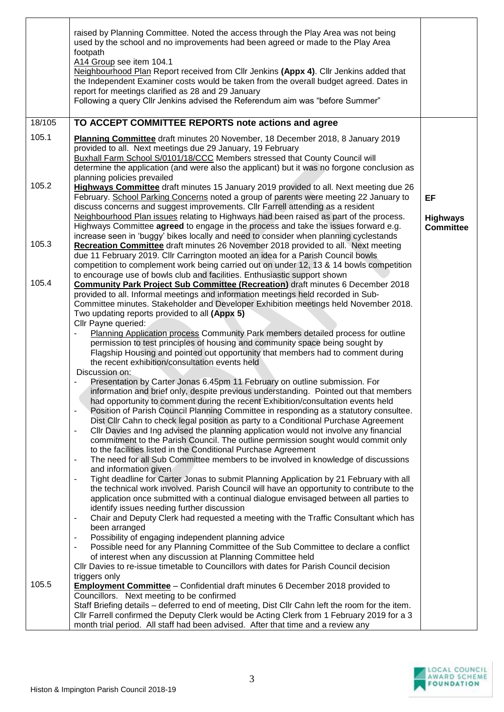|        | raised by Planning Committee. Noted the access through the Play Area was not being<br>used by the school and no improvements had been agreed or made to the Play Area<br>footpath<br>A14 Group see item 104.1<br>Neighbourhood Plan Report received from Cllr Jenkins (Appx 4). Cllr Jenkins added that<br>the Independent Examiner costs would be taken from the overall budget agreed. Dates in<br>report for meetings clarified as 28 and 29 January<br>Following a query Cllr Jenkins advised the Referendum aim was "before Summer"                                                                                                                                                                                                                                                                                                                               |                                     |
|--------|------------------------------------------------------------------------------------------------------------------------------------------------------------------------------------------------------------------------------------------------------------------------------------------------------------------------------------------------------------------------------------------------------------------------------------------------------------------------------------------------------------------------------------------------------------------------------------------------------------------------------------------------------------------------------------------------------------------------------------------------------------------------------------------------------------------------------------------------------------------------|-------------------------------------|
| 18/105 | TO ACCEPT COMMITTEE REPORTS note actions and agree                                                                                                                                                                                                                                                                                                                                                                                                                                                                                                                                                                                                                                                                                                                                                                                                                     |                                     |
| 105.1  | Planning Committee draft minutes 20 November, 18 December 2018, 8 January 2019<br>provided to all. Next meetings due 29 January, 19 February<br>Buxhall Farm School S/0101/18/CCC Members stressed that County Council will<br>determine the application (and were also the applicant) but it was no forgone conclusion as<br>planning policies prevailed                                                                                                                                                                                                                                                                                                                                                                                                                                                                                                              |                                     |
| 105.2  | Highways Committee draft minutes 15 January 2019 provided to all. Next meeting due 26<br>February. School Parking Concerns noted a group of parents were meeting 22 January to<br>discuss concerns and suggest improvements. Cllr Farrell attending as a resident                                                                                                                                                                                                                                                                                                                                                                                                                                                                                                                                                                                                      | <b>EF</b>                           |
| 105.3  | Neighbourhood Plan issues relating to Highways had been raised as part of the process.<br>Highways Committee agreed to engage in the process and take the issues forward e.g.<br>increase seen in 'buggy' bikes locally and need to consider when planning cyclestands<br>Recreation Committee draft minutes 26 November 2018 provided to all. Next meeting<br>due 11 February 2019. Cllr Carrington mooted an idea for a Parish Council bowls<br>competition to complement work being carried out on under 12, 13 & 14 bowls competition                                                                                                                                                                                                                                                                                                                              | <b>Highways</b><br><b>Committee</b> |
| 105.4  | to encourage use of bowls club and facilities. Enthusiastic support shown<br><b>Community Park Project Sub Committee (Recreation)</b> draft minutes 6 December 2018<br>provided to all. Informal meetings and information meetings held recorded in Sub-<br>Committee minutes. Stakeholder and Developer Exhibition meetings held November 2018.<br>Two updating reports provided to all (Appx 5)                                                                                                                                                                                                                                                                                                                                                                                                                                                                      |                                     |
|        | Cllr Payne queried:<br>Planning Application process Community Park members detailed process for outline<br>permission to test principles of housing and community space being sought by<br>Flagship Housing and pointed out opportunity that members had to comment during<br>the recent exhibition/consultation events held                                                                                                                                                                                                                                                                                                                                                                                                                                                                                                                                           |                                     |
|        | Discussion on:<br>Presentation by Carter Jonas 6.45pm 11 February on outline submission. For<br>information and brief only, despite previous understanding. Pointed out that members<br>had opportunity to comment during the recent Exhibition/consultation events held<br>Position of Parish Council Planning Committee in responding as a statutory consultee.<br>$\overline{\phantom{a}}$<br>Dist Cllr Cahn to check legal position as party to a Conditional Purchase Agreement<br>CIIr Davies and Ing advised the planning application would not involve any financial<br>$\overline{\phantom{a}}$<br>commitment to the Parish Council. The outline permission sought would commit only<br>to the facilities listed in the Conditional Purchase Agreement<br>The need for all Sub Committee members to be involved in knowledge of discussions<br>$\blacksquare$ |                                     |
|        | and information given<br>Tight deadline for Carter Jonas to submit Planning Application by 21 February with all<br>$\overline{\phantom{a}}$<br>the technical work involved. Parish Council will have an opportunity to contribute to the<br>application once submitted with a continual dialogue envisaged between all parties to<br>identify issues needing further discussion<br>Chair and Deputy Clerk had requested a meeting with the Traffic Consultant which has<br>$\overline{\phantom{a}}$<br>been arranged                                                                                                                                                                                                                                                                                                                                                   |                                     |
|        | Possibility of engaging independent planning advice<br>Possible need for any Planning Committee of the Sub Committee to declare a conflict<br>$\overline{\phantom{a}}$<br>of interest when any discussion at Planning Committee held<br>CIIr Davies to re-issue timetable to Councillors with dates for Parish Council decision<br>triggers only                                                                                                                                                                                                                                                                                                                                                                                                                                                                                                                       |                                     |
| 105.5  | <b>Employment Committee</b> - Confidential draft minutes 6 December 2018 provided to<br>Councillors. Next meeting to be confirmed<br>Staff Briefing details - deferred to end of meeting, Dist Cllr Cahn left the room for the item.<br>Cllr Farrell confirmed the Deputy Clerk would be Acting Clerk from 1 February 2019 for a 3<br>month trial period. All staff had been advised. After that time and a review any                                                                                                                                                                                                                                                                                                                                                                                                                                                 |                                     |

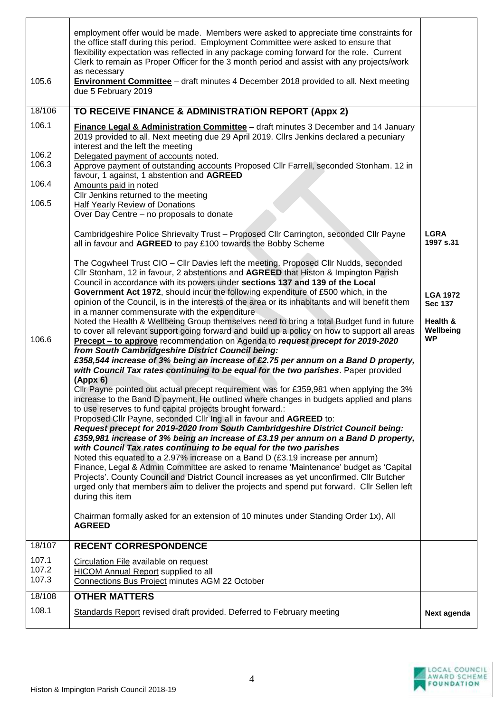| 105.6                   | employment offer would be made. Members were asked to appreciate time constraints for<br>the office staff during this period. Employment Committee were asked to ensure that<br>flexibility expectation was reflected in any package coming forward for the role. Current<br>Clerk to remain as Proper Officer for the 3 month period and assist with any projects/work<br>as necessary<br><b>Environment Committee</b> - draft minutes 4 December 2018 provided to all. Next meeting<br>due 5 February 2019 |                                   |
|-------------------------|--------------------------------------------------------------------------------------------------------------------------------------------------------------------------------------------------------------------------------------------------------------------------------------------------------------------------------------------------------------------------------------------------------------------------------------------------------------------------------------------------------------|-----------------------------------|
| 18/106                  | TO RECEIVE FINANCE & ADMINISTRATION REPORT (Appx 2)                                                                                                                                                                                                                                                                                                                                                                                                                                                          |                                   |
| 106.1                   | Finance Legal & Administration Committee - draft minutes 3 December and 14 January<br>2019 provided to all. Next meeting due 29 April 2019. Cllrs Jenkins declared a pecuniary<br>interest and the left the meeting                                                                                                                                                                                                                                                                                          |                                   |
| 106.2<br>106.3          | Delegated payment of accounts noted.<br>Approve payment of outstanding accounts Proposed Cllr Farrell, seconded Stonham. 12 in                                                                                                                                                                                                                                                                                                                                                                               |                                   |
| 106.4                   | favour, 1 against, 1 abstention and AGREED<br>Amounts paid in noted                                                                                                                                                                                                                                                                                                                                                                                                                                          |                                   |
| 106.5                   | CIIr Jenkins returned to the meeting<br>Half Yearly Review of Donations                                                                                                                                                                                                                                                                                                                                                                                                                                      |                                   |
|                         | Over Day Centre – no proposals to donate                                                                                                                                                                                                                                                                                                                                                                                                                                                                     |                                   |
|                         | Cambridgeshire Police Shrievalty Trust - Proposed Cllr Carrington, seconded Cllr Payne<br>all in favour and AGREED to pay £100 towards the Bobby Scheme                                                                                                                                                                                                                                                                                                                                                      | <b>LGRA</b><br>1997 s.31          |
|                         | The Cogwheel Trust CIO - Cllr Davies left the meeting. Proposed Cllr Nudds, seconded<br>Cllr Stonham, 12 in favour, 2 abstentions and AGREED that Histon & Impington Parish<br>Council in accordance with its powers under sections 137 and 139 of the Local                                                                                                                                                                                                                                                 |                                   |
|                         | Government Act 1972, should incur the following expenditure of £500 which, in the<br>opinion of the Council, is in the interests of the area or its inhabitants and will benefit them                                                                                                                                                                                                                                                                                                                        | <b>LGA 1972</b><br><b>Sec 137</b> |
| 106.6                   | in a manner commensurate with the expenditure<br>Noted the Health & Wellbeing Group themselves need to bring a total Budget fund in future<br>to cover all relevant support going forward and build up a policy on how to support all areas<br><b>Precept – to approve</b> recommendation on Agenda to <i>request precept for 2019-2020</i><br>from South Cambridgeshire District Council being:<br>£358,544 increase of 3% being an increase of £2.75 per annum on a Band D property,                       | Health &<br>Wellbeing<br>WP       |
|                         | with Council Tax rates continuing to be equal for the two parishes. Paper provided<br>(Appx 6)                                                                                                                                                                                                                                                                                                                                                                                                               |                                   |
|                         | CIIr Payne pointed out actual precept requirement was for £359,981 when applying the 3%<br>increase to the Band D payment. He outlined where changes in budgets applied and plans<br>to use reserves to fund capital projects brought forward.:                                                                                                                                                                                                                                                              |                                   |
|                         | Proposed Cllr Payne, seconded Cllr Ing all in favour and AGREED to:<br>Request precept for 2019-2020 from South Cambridgeshire District Council being:<br>£359,981 increase of 3% being an increase of £3.19 per annum on a Band D property,<br>with Council Tax rates continuing to be equal for the two parishes                                                                                                                                                                                           |                                   |
|                         | Noted this equated to a 2.97% increase on a Band D (£3.19 increase per annum)<br>Finance, Legal & Admin Committee are asked to rename 'Maintenance' budget as 'Capital<br>Projects'. County Council and District Council increases as yet unconfirmed. Cllr Butcher<br>urged only that members aim to deliver the projects and spend put forward. Cllr Sellen left<br>during this item                                                                                                                       |                                   |
|                         | Chairman formally asked for an extension of 10 minutes under Standing Order 1x), All<br><b>AGREED</b>                                                                                                                                                                                                                                                                                                                                                                                                        |                                   |
| 18/107                  | <b>RECENT CORRESPONDENCE</b>                                                                                                                                                                                                                                                                                                                                                                                                                                                                                 |                                   |
| 107.1<br>107.2<br>107.3 | Circulation File available on request<br><b>HICOM Annual Report supplied to all</b><br>Connections Bus Project minutes AGM 22 October                                                                                                                                                                                                                                                                                                                                                                        |                                   |
| 18/108                  | <b>OTHER MATTERS</b>                                                                                                                                                                                                                                                                                                                                                                                                                                                                                         |                                   |
| 108.1                   | Standards Report revised draft provided. Deferred to February meeting                                                                                                                                                                                                                                                                                                                                                                                                                                        | Next agenda                       |